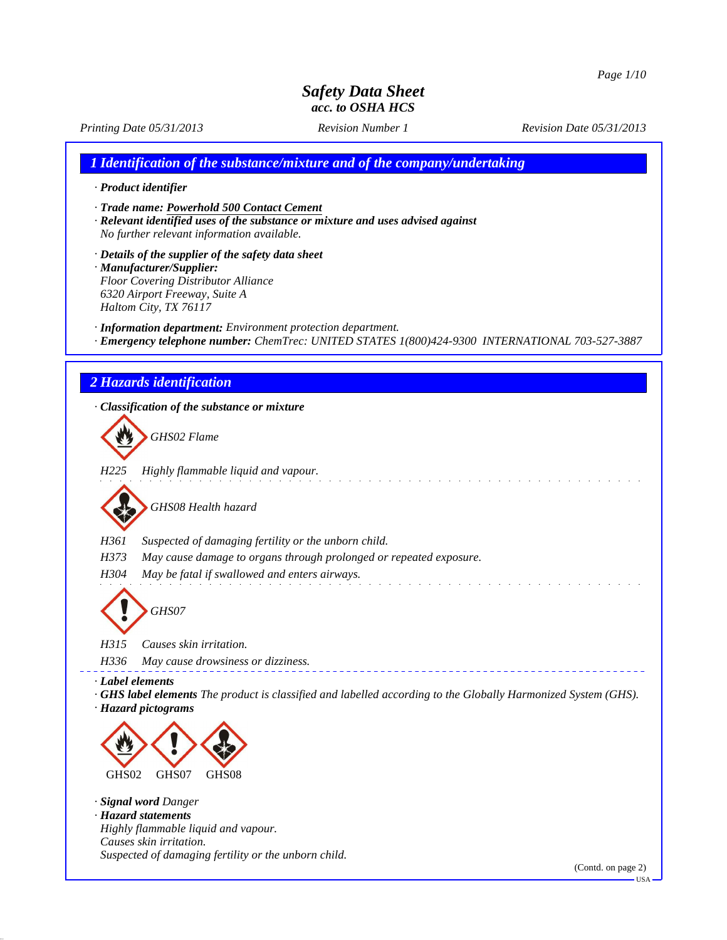*Printing Date 05/31/2013 Revision Number 1 Revision Date 05/31/2013*

*1 Identification of the substance/mixture and of the company/undertaking*

*· Product identifier*

*· Trade name: Powerhold 500 Contact Cement*

*· Relevant identified uses of the substance or mixture and uses advised against No further relevant information available.*

*· Details of the supplier of the safety data sheet · Manufacturer/Supplier: Floor Covering Distributor Alliance 6320 Airport Freeway, Suite A Haltom City, TX 76117*

*· Information department: Environment protection department.*

*· Emergency telephone number: ChemTrec: UNITED STATES 1(800)424-9300 INTERNATIONAL 703-527-3887*

### *2 Hazards identification*

*· Classification of the substance or mixture GHS02 Flame H225 Highly flammable liquid and vapour.* and a straight and *GHS08 Health hazard H361 Suspected of damaging fertility or the unborn child. H373 May cause damage to organs through prolonged or repeated exposure. H304 May be fatal if swallowed and enters airways. GHS07 H315 Causes skin irritation. H336 May cause drowsiness or dizziness. · Label elements · GHS label elements The product is classified and labelled according to the Globally Harmonized System (GHS). · Hazard pictograms* GHS02 GHS07 GHS08 *· Signal word Danger · Hazard statements Highly flammable liquid and vapour. Causes skin irritation. Suspected of damaging fertility or the unborn child.*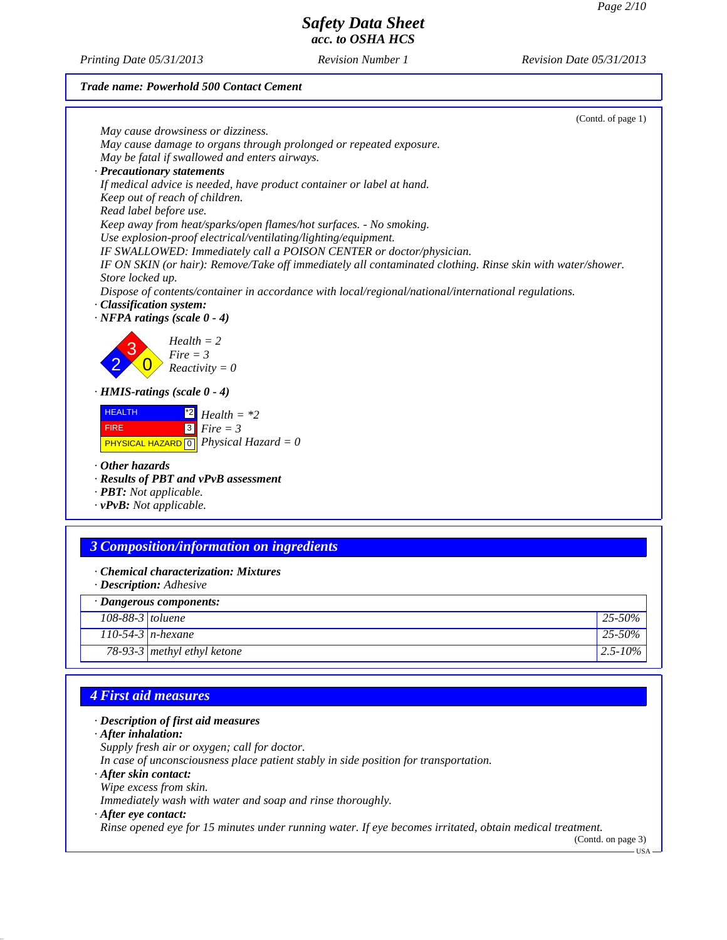*Printing Date 05/31/2013 Revision Number 1 Revision Date 05/31/2013*

#### *Trade name: Powerhold 500 Contact Cement*

| (Contd. of page 1)                                                                                         |  |
|------------------------------------------------------------------------------------------------------------|--|
| May cause drowsiness or dizziness.                                                                         |  |
| May cause damage to organs through prolonged or repeated exposure.                                         |  |
| May be fatal if swallowed and enters airways.                                                              |  |
| · Precautionary statements                                                                                 |  |
| If medical advice is needed, have product container or label at hand.                                      |  |
| Keep out of reach of children.                                                                             |  |
| Read label before use.                                                                                     |  |
| Keep away from heat/sparks/open flames/hot surfaces. - No smoking.                                         |  |
| Use explosion-proof electrical/ventilating/lighting/equipment.                                             |  |
| IF SWALLOWED: Immediately call a POISON CENTER or doctor/physician.                                        |  |
| IF ON SKIN (or hair): Remove/Take off immediately all contaminated clothing. Rinse skin with water/shower. |  |
| Store locked up.                                                                                           |  |
| Dispose of contents/container in accordance with local/regional/national/international regulations.        |  |
| · Classification system:                                                                                   |  |
| $\cdot$ NFPA ratings (scale 0 - 4)                                                                         |  |
|                                                                                                            |  |
| $Health = 2$                                                                                               |  |
| $Fire = 3$                                                                                                 |  |
| $Reactivity = 0$                                                                                           |  |
|                                                                                                            |  |
| $\cdot$ HMIS-ratings (scale 0 - 4)                                                                         |  |
| <b>HEALTH</b>                                                                                              |  |
| $Health = *2$                                                                                              |  |
| $3$ Fire = 3<br><b>FIRE</b>                                                                                |  |
| <b>PHYSICAL HAZARD</b> $\boxed{0}$ <i>Physical Hazard</i> = 0                                              |  |
|                                                                                                            |  |
| $\cdot$ Other hazards                                                                                      |  |
| · Results of PBT and vPvB assessment                                                                       |  |
| · <b>PBT</b> : Not applicable.                                                                             |  |
| $\cdot$ vPvB: Not applicable.                                                                              |  |
|                                                                                                            |  |
|                                                                                                            |  |
| <b>3 Composition/information on ingredients</b>                                                            |  |
|                                                                                                            |  |
| Chemical characterization: Mixtures                                                                        |  |

*· Description: Adhesive*

| 108-88-3 toluene     |                             | $25 - 50\%$   |
|----------------------|-----------------------------|---------------|
| 110-54-3 $n$ -hexane |                             | 25-50%        |
|                      | 78-93-3 methyl ethyl ketone | $12.5 - 10\%$ |

# *4 First aid measures*

### *· Description of first aid measures*

*· After inhalation:*

*Supply fresh air or oxygen; call for doctor.*

*In case of unconsciousness place patient stably in side position for transportation.*

*· After skin contact:*

*Wipe excess from skin.*

*Immediately wash with water and soap and rinse thoroughly.*

### *· After eye contact:*

*Rinse opened eye for 15 minutes under running water. If eye becomes irritated, obtain medical treatment.*

(Contd. on page 3)

USA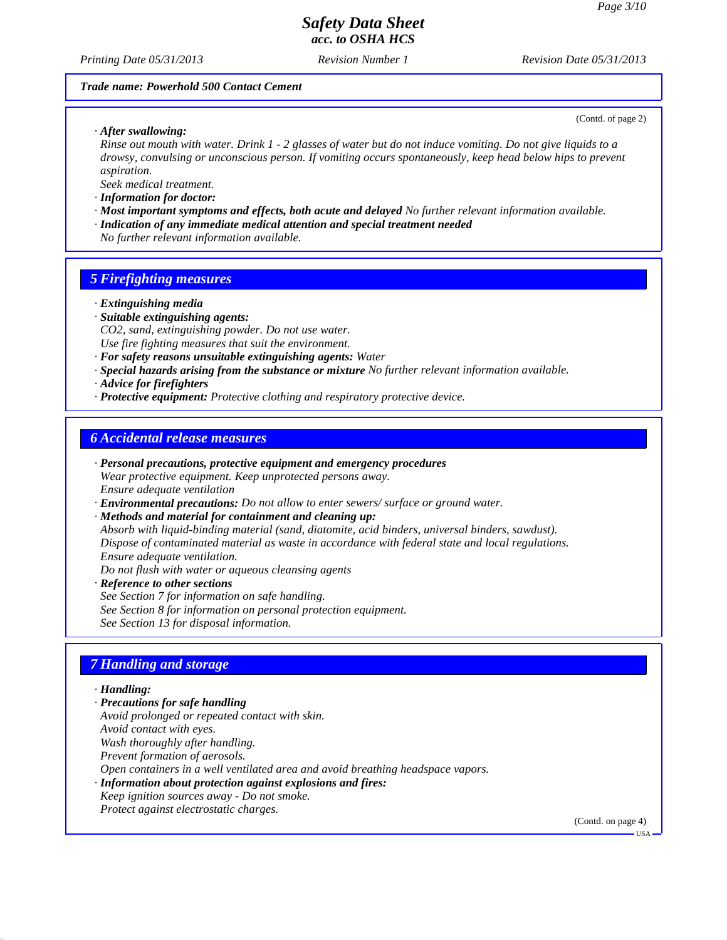*Printing Date 05/31/2013 Revision Number 1 Revision Date 05/31/2013*

#### *Trade name: Powerhold 500 Contact Cement*

(Contd. of page 2)

*· After swallowing:*

*Rinse out mouth with water. Drink 1 - 2 glasses of water but do not induce vomiting. Do not give liquids to a drowsy, convulsing or unconscious person. If vomiting occurs spontaneously, keep head below hips to prevent aspiration.*

*Seek medical treatment.*

- *· Information for doctor:*
- *· Most important symptoms and effects, both acute and delayed No further relevant information available. · Indication of any immediate medical attention and special treatment needed*
- *No further relevant information available.*

## *5 Firefighting measures*

- *· Extinguishing media*
- *· Suitable extinguishing agents: CO2, sand, extinguishing powder. Do not use water. Use fire fighting measures that suit the environment.*
- *· For safety reasons unsuitable extinguishing agents: Water*
- *· Special hazards arising from the substance or mixture No further relevant information available.*
- *· Advice for firefighters*
- *· Protective equipment: Protective clothing and respiratory protective device.*

### *6 Accidental release measures*

- *· Personal precautions, protective equipment and emergency procedures Wear protective equipment. Keep unprotected persons away. Ensure adequate ventilation*
- *· Environmental precautions: Do not allow to enter sewers/ surface or ground water.*
- *· Methods and material for containment and cleaning up:*

*Absorb with liquid-binding material (sand, diatomite, acid binders, universal binders, sawdust). Dispose of contaminated material as waste in accordance with federal state and local regulations. Ensure adequate ventilation.*

*Do not flush with water or aqueous cleansing agents*

*· Reference to other sections See Section 7 for information on safe handling. See Section 8 for information on personal protection equipment. See Section 13 for disposal information.*

## *7 Handling and storage*

### *· Handling:*

- *· Precautions for safe handling Avoid prolonged or repeated contact with skin.*
- *Avoid contact with eyes.*
- *Wash thoroughly after handling.*
- *Prevent formation of aerosols.*
- *Open containers in a well ventilated area and avoid breathing headspace vapors.*
- *· Information about protection against explosions and fires:*
- *Keep ignition sources away Do not smoke.*
- *Protect against electrostatic charges.*

(Contd. on page 4)

USA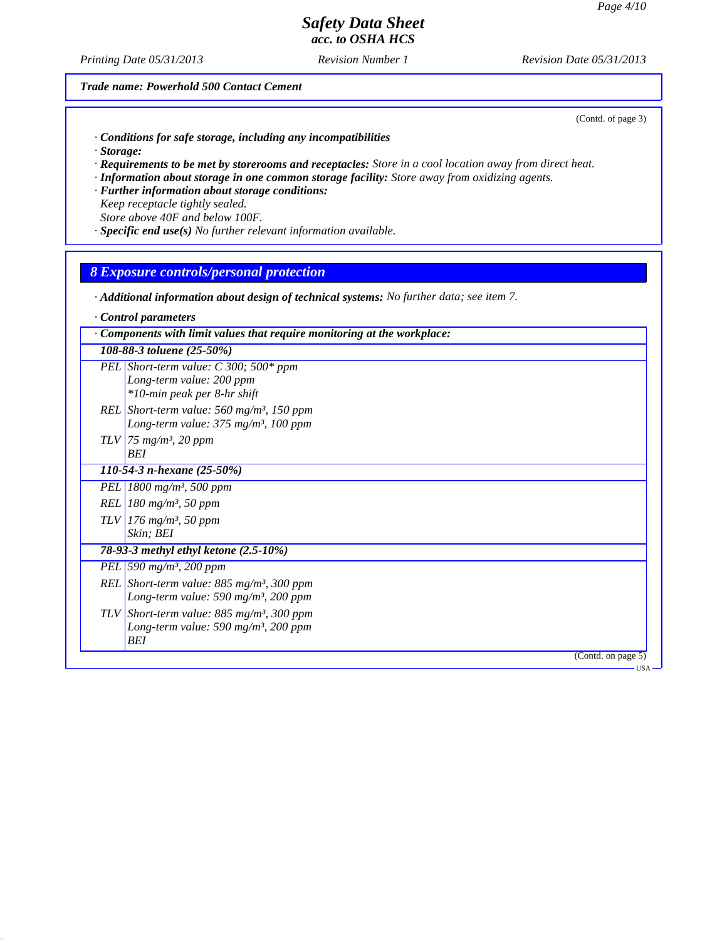*Printing Date 05/31/2013 Revision Number 1 Revision Date 05/31/2013*

*Trade name: Powerhold 500 Contact Cement*

(Contd. of page 3)

- *· Conditions for safe storage, including any incompatibilities*
- *· Storage:*
- *· Requirements to be met by storerooms and receptacles: Store in a cool location away from direct heat.*
- *· Information about storage in one common storage facility: Store away from oxidizing agents.*
- *· Further information about storage conditions:*
- *Keep receptacle tightly sealed. Store above 40F and below 100F.*
- *· Specific end use(s) No further relevant information available.*

### *8 Exposure controls/personal protection*

*· Additional information about design of technical systems: No further data; see item 7.*

| Components with limit values that require monitoring at the workplace:                                                    |                    |
|---------------------------------------------------------------------------------------------------------------------------|--------------------|
| 108-88-3 toluene (25-50%)                                                                                                 |                    |
| PEL Short-term value: $C$ 300; 500* ppm<br>Long-term value: 200 ppm<br>*10-min peak per 8-hr shift                        |                    |
| REL Short-term value: $560$ mg/m <sup>3</sup> , 150 ppm<br>Long-term value: $375 \text{ mg/m}^3$ , 100 ppm                |                    |
| $TLV$ 75 mg/m <sup>3</sup> , 20 ppm<br>BEI                                                                                |                    |
| 110-54-3 n-hexane $(25-50\%)$                                                                                             |                    |
| PEL   1800 mg/m <sup>3</sup> , 500 ppm                                                                                    |                    |
| REL   180 mg/m <sup>3</sup> , 50 ppm                                                                                      |                    |
| $TLV$ 176 mg/m <sup>3</sup> , 50 ppm<br>Skin; BEI                                                                         |                    |
| 78-93-3 methyl ethyl ketone (2.5-10%)                                                                                     |                    |
| PEL 590 $mg/m^3$ , 200 ppm                                                                                                |                    |
| REL Short-term value: $885$ mg/m <sup>3</sup> , 300 ppm<br>Long-term value: 590 mg/m <sup>3</sup> , 200 ppm               |                    |
| TLV Short-term value: $885$ mg/m <sup>3</sup> , 300 ppm<br>Long-term value: 590 mg/m <sup>3</sup> , 200 ppm<br><b>BEI</b> |                    |
|                                                                                                                           | (Contd. on page 5) |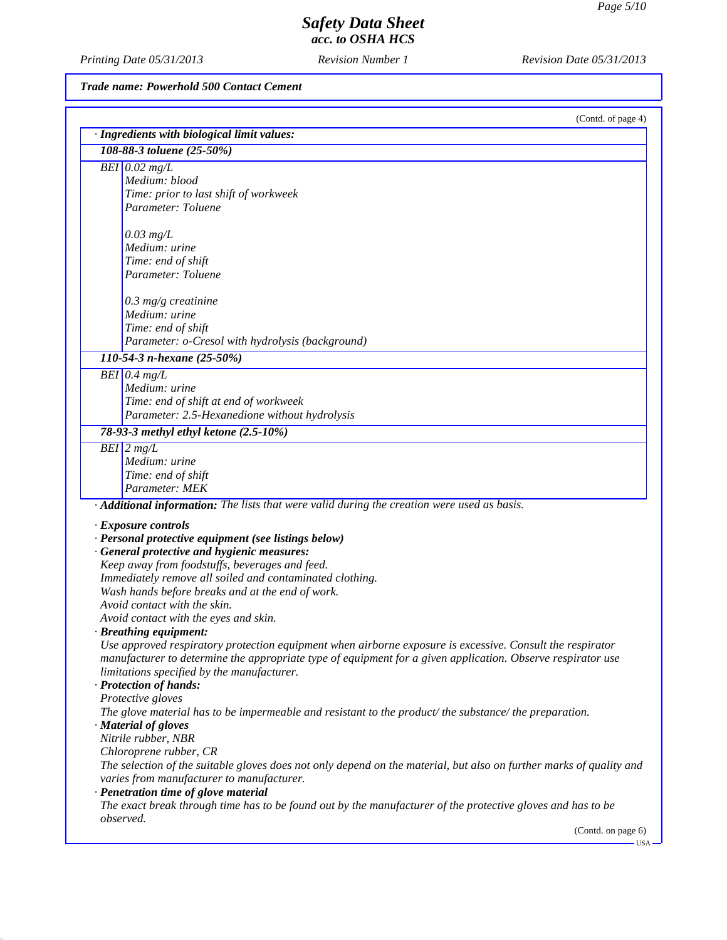*Printing Date 05/31/2013 Revision Number 1 Revision Date 05/31/2013*

*Trade name: Powerhold 500 Contact Cement*

| (Contd. of page 4)                                                                                                       |
|--------------------------------------------------------------------------------------------------------------------------|
| · Ingredients with biological limit values:<br>108-88-3 toluene (25-50%)                                                 |
|                                                                                                                          |
| $BEI$ 0.02 mg/L<br>Medium: blood                                                                                         |
| Time: prior to last shift of workweek                                                                                    |
| Parameter: Toluene                                                                                                       |
|                                                                                                                          |
| $0.03$ mg/L                                                                                                              |
| Medium: urine                                                                                                            |
| Time: end of shift                                                                                                       |
| Parameter: Toluene                                                                                                       |
| $0.3$ mg/g creatinine                                                                                                    |
| Medium: urine                                                                                                            |
| Time: end of shift                                                                                                       |
| Parameter: o-Cresol with hydrolysis (background)                                                                         |
| 110-54-3 n-hexane (25-50%)                                                                                               |
| $BEI$ 0.4 mg/L                                                                                                           |
| Medium: urine                                                                                                            |
| Time: end of shift at end of workweek                                                                                    |
| Parameter: 2.5-Hexanedione without hydrolysis                                                                            |
| 78-93-3 methyl ethyl ketone (2.5-10%)                                                                                    |
| $BEI$ 2 mg/L                                                                                                             |
| Medium: urine                                                                                                            |
| Time: end of shift                                                                                                       |
| Parameter: MEK                                                                                                           |
| · Additional information: The lists that were valid during the creation were used as basis.                              |
| · Exposure controls                                                                                                      |
| · Personal protective equipment (see listings below)                                                                     |
| · General protective and hygienic measures:                                                                              |
| Keep away from foodstuffs, beverages and feed.                                                                           |
| Immediately remove all soiled and contaminated clothing.                                                                 |
| Wash hands before breaks and at the end of work.                                                                         |
| Avoid contact with the skin.                                                                                             |
| Avoid contact with the eyes and skin.                                                                                    |
| · Breathing equipment:                                                                                                   |
| Use approved respiratory protection equipment when airborne exposure is excessive. Consult the respirator                |
| manufacturer to determine the appropriate type of equipment for a given application. Observe respirator use              |
| limitations specified by the manufacturer.<br>· Protection of hands:                                                     |
|                                                                                                                          |
|                                                                                                                          |
| Protective gloves                                                                                                        |
| The glove material has to be impermeable and resistant to the product/the substance/the preparation.                     |
| · Material of gloves                                                                                                     |
| Nitrile rubber, NBR                                                                                                      |
| Chloroprene rubber, CR                                                                                                   |
| The selection of the suitable gloves does not only depend on the material, but also on further marks of quality and      |
| varies from manufacturer to manufacturer.                                                                                |
| · Penetration time of glove material                                                                                     |
| The exact break through time has to be found out by the manufacturer of the protective gloves and has to be<br>observed. |

USA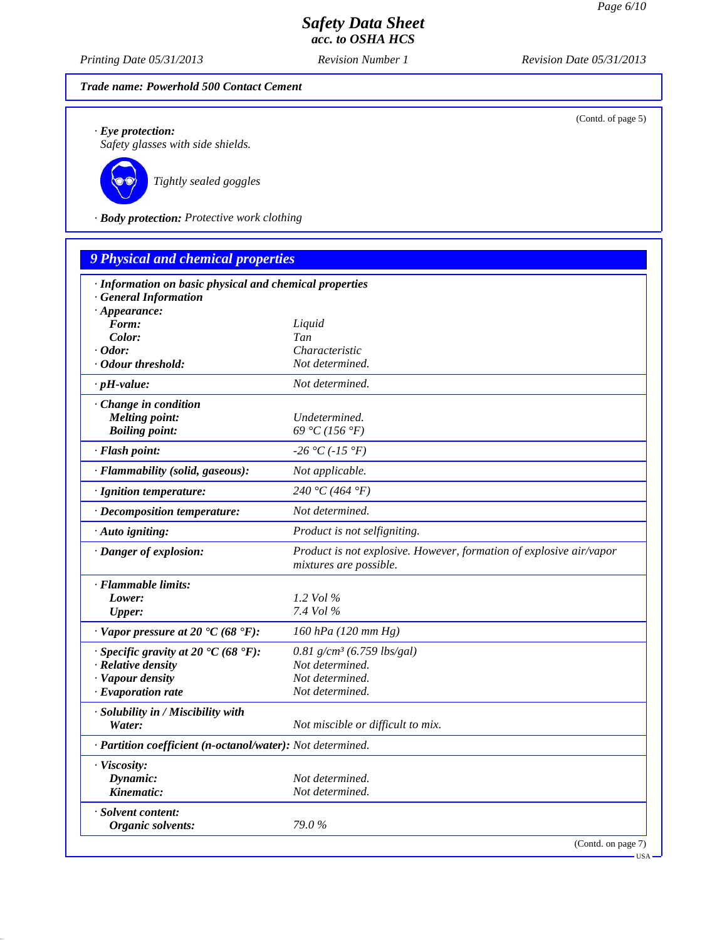*Printing Date 05/31/2013 Revision Number 1 Revision Date 05/31/2013*

## *Trade name: Powerhold 500 Contact Cement*

(Contd. of page 5)

*· Eye protection: Safety glasses with side shields.*



*Tightly sealed goggles*

*· Body protection: Protective work clothing*

| <b>9 Physical and chemical properties</b>                                                               |                                                                                               |
|---------------------------------------------------------------------------------------------------------|-----------------------------------------------------------------------------------------------|
| · Information on basic physical and chemical properties<br>· General Information<br>$\cdot$ Appearance: |                                                                                               |
| Form:                                                                                                   | Liquid                                                                                        |
| Color:                                                                                                  | Tan                                                                                           |
| $\cdot$ Odor:                                                                                           | Characteristic                                                                                |
| · Odour threshold:                                                                                      | Not determined.                                                                               |
| $\cdot$ pH-value:                                                                                       | Not determined.                                                                               |
| · Change in condition                                                                                   |                                                                                               |
| <b>Melting point:</b>                                                                                   | Undetermined.                                                                                 |
| <b>Boiling point:</b>                                                                                   | 69 °C (156 °F)                                                                                |
| · Flash point:                                                                                          | $-26 °C (-15 °F)$                                                                             |
| · Flammability (solid, gaseous):                                                                        | Not applicable.                                                                               |
| · Ignition temperature:                                                                                 | 240 °C (464 °F)                                                                               |
| · Decomposition temperature:                                                                            | Not determined.                                                                               |
| · Auto igniting:                                                                                        | Product is not selfigniting.                                                                  |
| · Danger of explosion:                                                                                  | Product is not explosive. However, formation of explosive air/vapor<br>mixtures are possible. |
| · Flammable limits:                                                                                     |                                                                                               |
| Lower:                                                                                                  | 1.2 Vol $\%$                                                                                  |
| <b>Upper:</b>                                                                                           | 7.4 Vol %                                                                                     |
| $\cdot$ Vapor pressure at 20 $\cdot$ C (68 $\cdot$ F):                                                  | 160 hPa (120 mm Hg)                                                                           |
| $\cdot$ Specific gravity at 20 °C (68 °F):                                                              | $0.81$ g/cm <sup>3</sup> (6.759 lbs/gal)                                                      |
| · Relative density                                                                                      | Not determined.                                                                               |
| · Vapour density                                                                                        | Not determined.                                                                               |
| $\cdot$ Evaporation rate                                                                                | Not determined.                                                                               |
| · Solubility in / Miscibility with                                                                      |                                                                                               |
| Water:                                                                                                  | Not miscible or difficult to mix.                                                             |
| · Partition coefficient (n-octanol/water): Not determined.                                              |                                                                                               |
| · Viscosity:                                                                                            |                                                                                               |
| Dynamic:                                                                                                | Not determined.                                                                               |
| Kinematic:                                                                                              | Not determined.                                                                               |
| · Solvent content:                                                                                      |                                                                                               |
| <b>Organic solvents:</b>                                                                                | 79.0%                                                                                         |
|                                                                                                         | (Contd. on page 7)<br>$\cdot$ USA -                                                           |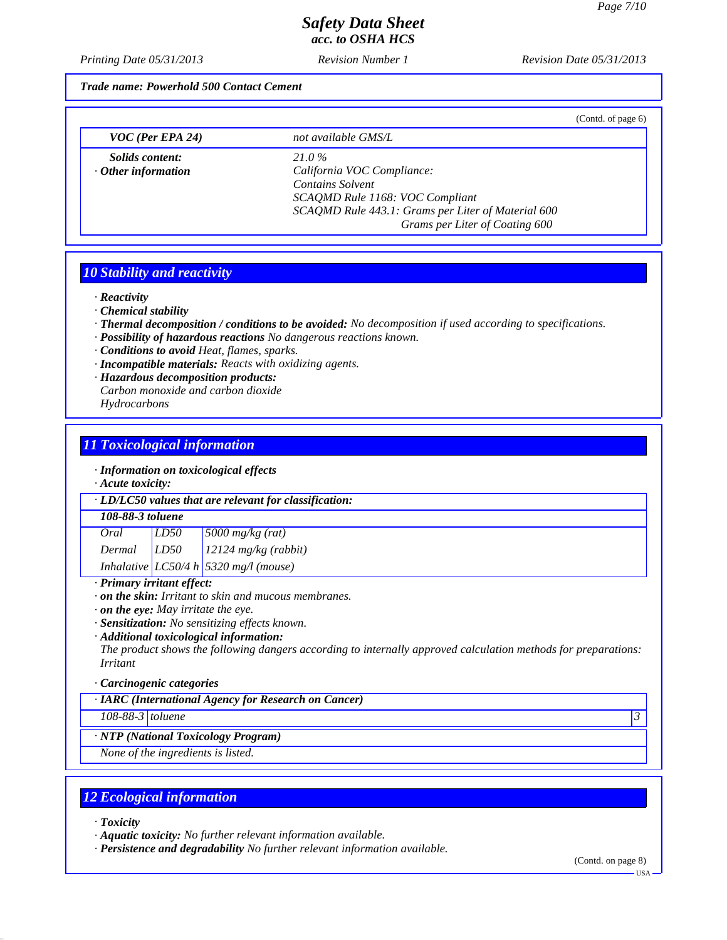*Printing Date 05/31/2013 Revision Number 1 Revision Date 05/31/2013*

*Trade name: Powerhold 500 Contact Cement*

|                           |                                                    | (Contd. of page 6) |
|---------------------------|----------------------------------------------------|--------------------|
| $VOC$ (Per EPA 24)        | not available GMS/L                                |                    |
| <i>Solids content:</i>    | 21.0%                                              |                    |
| $\cdot$ Other information | California VOC Compliance:                         |                    |
|                           | <b>Contains Solvent</b>                            |                    |
|                           | SCAQMD Rule 1168: VOC Compliant                    |                    |
|                           | SCAQMD Rule 443.1: Grams per Liter of Material 600 |                    |
|                           | Grams per Liter of Coating 600                     |                    |

### *10 Stability and reactivity*

*· Reactivity*

- *· Chemical stability*
- *· Thermal decomposition / conditions to be avoided: No decomposition if used according to specifications.*
- *· Possibility of hazardous reactions No dangerous reactions known.*
- *· Conditions to avoid Heat, flames, sparks.*
- *· Incompatible materials: Reacts with oxidizing agents.*
- *· Hazardous decomposition products: Carbon monoxide and carbon dioxide*

*Hydrocarbons*

## *11 Toxicological information*

### *· Information on toxicological effects*

*· Acute toxicity:*

| · LD/LC50 values that are relevant for classification: |
|--------------------------------------------------------|
|--------------------------------------------------------|

#### *108-88-3 toluene*

| Oral   | LD50 | $5000$ mg/kg (rat)                        |
|--------|------|-------------------------------------------|
| Dermal | LD50 | $12124$ mg/kg (rabbit)                    |
|        |      | Inhalative $LC50/4 h   5320 mg/l$ (mouse) |

### *· Primary irritant effect:*

*· on the skin: Irritant to skin and mucous membranes.*

*· on the eye: May irritate the eye.*

*· Sensitization: No sensitizing effects known.*

#### *· Additional toxicological information:*

*The product shows the following dangers according to internally approved calculation methods for preparations: Irritant*

#### *· Carcinogenic categories*

*· IARC (International Agency for Research on Cancer)*

*108-88-3 toluene 3* 

### *· NTP (National Toxicology Program)*

*None of the ingredients is listed.*

# *12 Ecological information*

*· Toxicity*

*· Aquatic toxicity: No further relevant information available.*

*· Persistence and degradability No further relevant information available.*

 $-<sub>USA</sub>$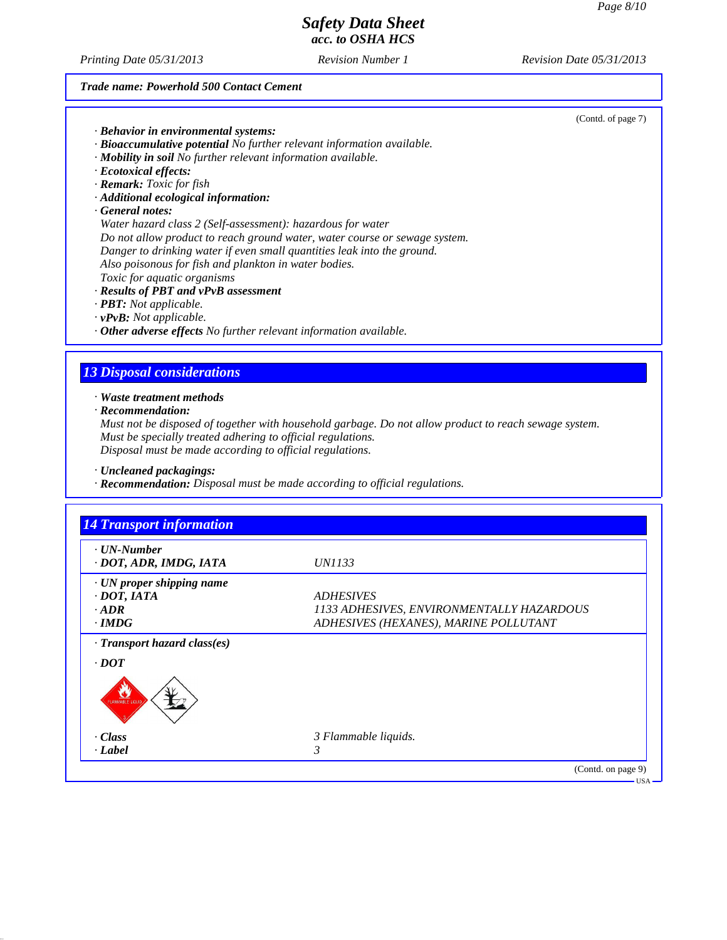*Printing Date 05/31/2013 Revision Number 1 Revision Date 05/31/2013*

### *Trade name: Powerhold 500 Contact Cement*

|                                                                        | (Contd. of page 7) |
|------------------------------------------------------------------------|--------------------|
| · Behavior in environmental systems:                                   |                    |
| · Bioaccumulative potential No further relevant information available. |                    |
| <b>Mobility in soil</b> No further relevant information available.     |                    |
| Ecotoxical effects:                                                    |                    |

- *· Ecotoxical effects: · Remark: Toxic for fish*
- *· Additional ecological information:*

*· General notes:*

*Water hazard class 2 (Self-assessment): hazardous for water Do not allow product to reach ground water, water course or sewage system. Danger to drinking water if even small quantities leak into the ground. Also poisonous for fish and plankton in water bodies. Toxic for aquatic organisms*

#### *· Results of PBT and vPvB assessment*

- *· PBT: Not applicable.*
- *· vPvB: Not applicable.*
- *· Other adverse effects No further relevant information available.*

## *13 Disposal considerations*

*· Waste treatment methods*

*· Recommendation:*

*Must not be disposed of together with household garbage. Do not allow product to reach sewage system. Must be specially treated adhering to official regulations. Disposal must be made according to official regulations.*

*· Uncleaned packagings:*

*· Recommendation: Disposal must be made according to official regulations.*

| $\cdot$ UN-Number<br>· DOT, ADR, IMDG, IATA        | <i>UN1133</i>                             |
|----------------------------------------------------|-------------------------------------------|
|                                                    |                                           |
| · UN proper shipping name<br>$\cdot$ DOT, IATA     | <b>ADHESIVES</b>                          |
| $-ADR$                                             | 1133 ADHESIVES, ENVIRONMENTALLY HAZARDOUS |
| $\cdot$ IMDG                                       | ADHESIVES (HEXANES), MARINE POLLUTANT     |
| · Transport hazard class(es)<br>$\cdot$ <i>DOT</i> |                                           |
| v<br>AMMABLE LIQUID                                |                                           |
| $\cdot$ Class                                      | 3 Flammable liquids.                      |
| $\cdot$ Label                                      | 3                                         |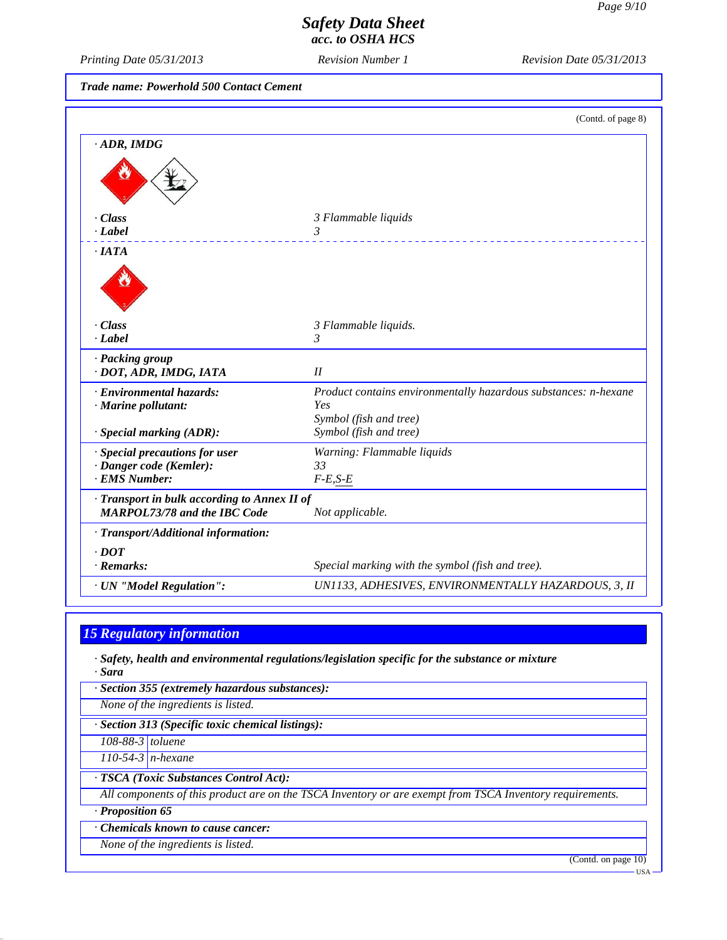*Printing Date 05/31/2013 Revision Number 1 Revision Date 05/31/2013*

*Trade name: Powerhold 500 Contact Cement*

|                                                                                     | (Contd. of page 8)                                              |
|-------------------------------------------------------------------------------------|-----------------------------------------------------------------|
| $\cdot$ ADR, IMDG                                                                   |                                                                 |
|                                                                                     |                                                                 |
| - Class                                                                             | 3 Flammable liquids                                             |
| · Label                                                                             | 3                                                               |
| $\cdot$ IATA                                                                        |                                                                 |
|                                                                                     |                                                                 |
| - Class                                                                             | 3 Flammable liquids.                                            |
| $-Label$                                                                            | 3                                                               |
| · Packing group<br>· DOT, ADR, IMDG, IATA                                           | II                                                              |
| · Environmental hazards:                                                            | Product contains environmentally hazardous substances: n-hexane |
| · Marine pollutant:                                                                 | Yes                                                             |
|                                                                                     | Symbol (fish and tree)                                          |
| · Special marking (ADR):                                                            | Symbol (fish and tree)                                          |
| · Special precautions for user                                                      | Warning: Flammable liquids                                      |
| · Danger code (Kemler):                                                             | 33                                                              |
| · EMS Number:                                                                       | $F-E,S-E$                                                       |
| · Transport in bulk according to Annex II of<br><b>MARPOL73/78 and the IBC Code</b> | Not applicable.                                                 |
| · Transport/Additional information:                                                 |                                                                 |
| $.$ DOT                                                                             |                                                                 |
| $\cdot$ Remarks:                                                                    | Special marking with the symbol (fish and tree).                |
| · UN "Model Regulation":                                                            | UN1133, ADHESIVES, ENVIRONMENTALLY HAZARDOUS, 3, II             |

## *15 Regulatory information*

*· Safety, health and environmental regulations/legislation specific for the substance or mixture · Sara*

*· Section 355 (extremely hazardous substances):*

*None of the ingredients is listed.*

*· Section 313 (Specific toxic chemical listings):*

*108-88-3 toluene*

*110-54-3 n-hexane*

*· TSCA (Toxic Substances Control Act):*

*All components of this product are on the TSCA Inventory or are exempt from TSCA Inventory requirements.*

*· Proposition 65*

*· Chemicals known to cause cancer:*

*None of the ingredients is listed.*

(Contd. on page 10)

USA